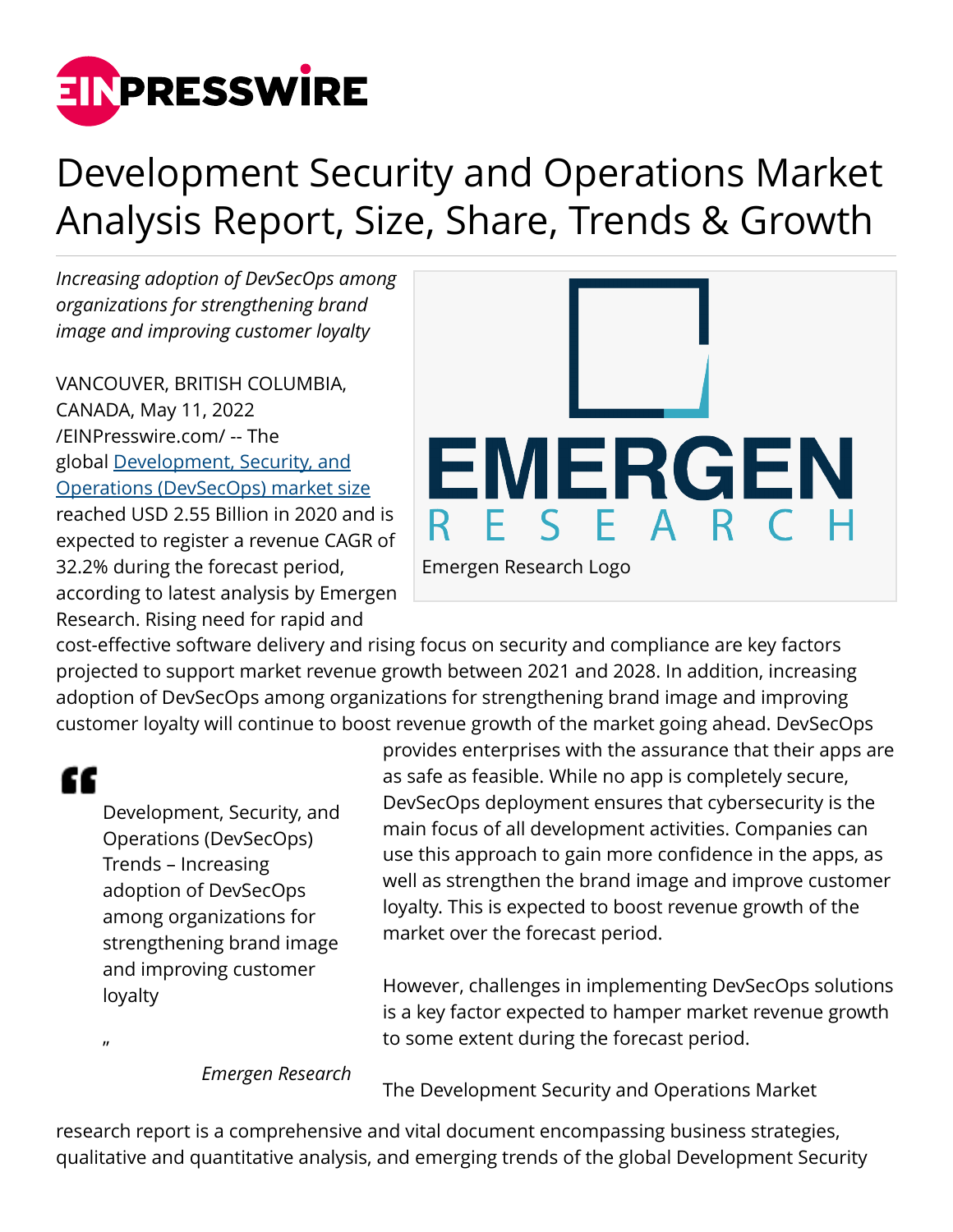

## Development Security and Operations Market Analysis Report, Size, Share, Trends & Growth

*Increasing adoption of DevSecOps among organizations for strengthening brand image and improving customer loyalty*

VANCOUVER, BRITISH COLUMBIA, CANADA, May 11, 2022 [/EINPresswire.com/](http://www.einpresswire.com) -- The global [Development, Security, and](https://www.emergenresearch.com/industry-report/development-security-and-operations-market) [Operations \(DevSecOps\) market size](https://www.emergenresearch.com/industry-report/development-security-and-operations-market) reached USD 2.55 Billion in 2020 and is expected to register a revenue CAGR of 32.2% during the forecast period, according to latest analysis by Emergen Research. Rising need for rapid and



cost-effective software delivery and rising focus on security and compliance are key factors projected to support market revenue growth between 2021 and 2028. In addition, increasing adoption of DevSecOps among organizations for strengthening brand image and improving customer loyalty will continue to boost revenue growth of the market going ahead. DevSecOps

## ££

 $\mathbf{u}$ 

Development, Security, and Operations (DevSecOps) Trends – Increasing adoption of DevSecOps among organizations for strengthening brand image and improving customer loyalty

provides enterprises with the assurance that their apps are as safe as feasible. While no app is completely secure, DevSecOps deployment ensures that cybersecurity is the main focus of all development activities. Companies can use this approach to gain more confidence in the apps, as well as strengthen the brand image and improve customer loyalty. This is expected to boost revenue growth of the market over the forecast period.

However, challenges in implementing DevSecOps solutions is a key factor expected to hamper market revenue growth to some extent during the forecast period.

*Emergen Research*

The Development Security and Operations Market

research report is a comprehensive and vital document encompassing business strategies, qualitative and quantitative analysis, and emerging trends of the global Development Security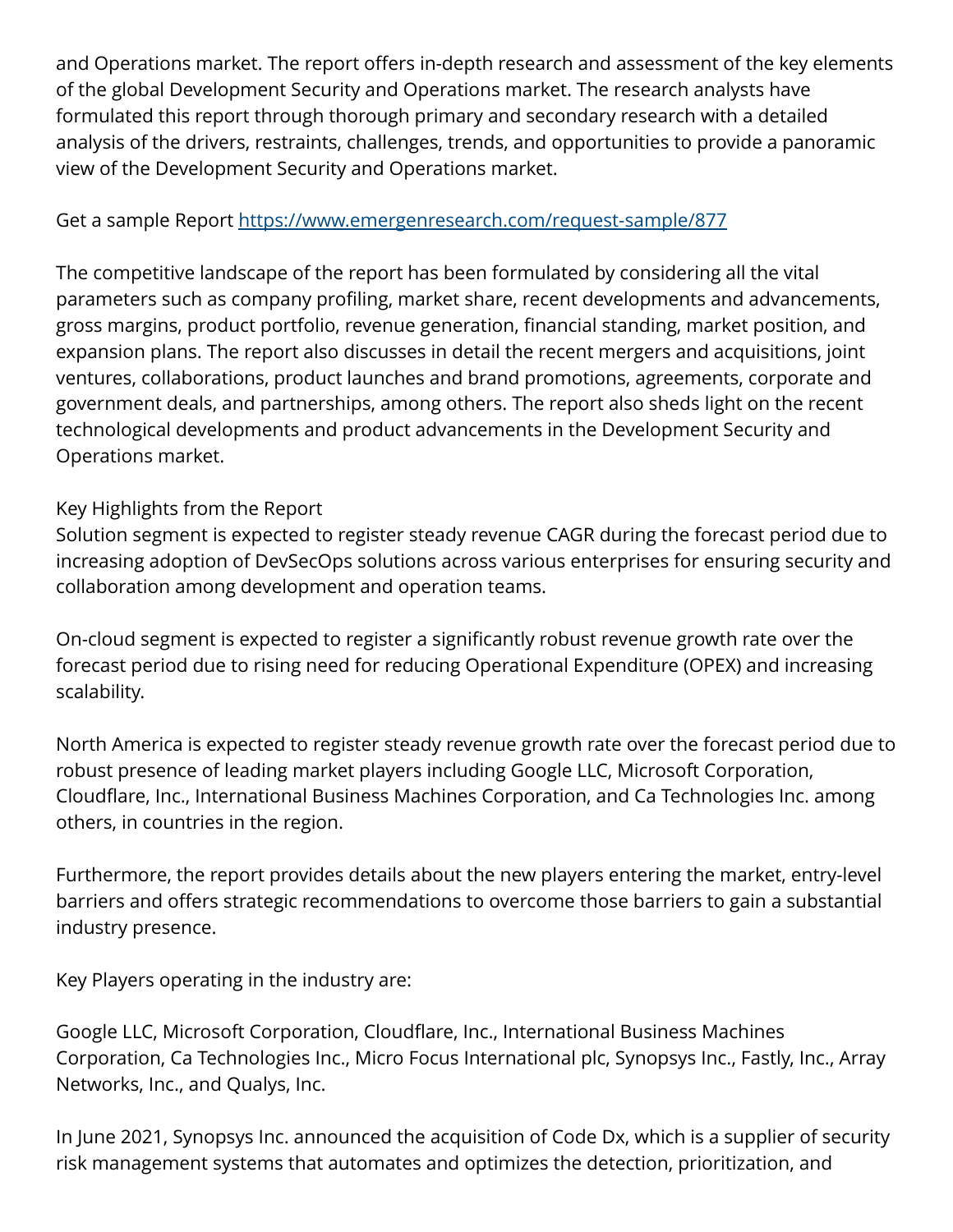and Operations market. The report offers in-depth research and assessment of the key elements of the global Development Security and Operations market. The research analysts have formulated this report through thorough primary and secondary research with a detailed analysis of the drivers, restraints, challenges, trends, and opportunities to provide a panoramic view of the Development Security and Operations market.

## Get a sample Report<https://www.emergenresearch.com/request-sample/877>

The competitive landscape of the report has been formulated by considering all the vital parameters such as company profiling, market share, recent developments and advancements, gross margins, product portfolio, revenue generation, financial standing, market position, and expansion plans. The report also discusses in detail the recent mergers and acquisitions, joint ventures, collaborations, product launches and brand promotions, agreements, corporate and government deals, and partnerships, among others. The report also sheds light on the recent technological developments and product advancements in the Development Security and Operations market.

## Key Highlights from the Report

Solution segment is expected to register steady revenue CAGR during the forecast period due to increasing adoption of DevSecOps solutions across various enterprises for ensuring security and collaboration among development and operation teams.

On-cloud segment is expected to register a significantly robust revenue growth rate over the forecast period due to rising need for reducing Operational Expenditure (OPEX) and increasing scalability.

North America is expected to register steady revenue growth rate over the forecast period due to robust presence of leading market players including Google LLC, Microsoft Corporation, Cloudflare, Inc., International Business Machines Corporation, and Ca Technologies Inc. among others, in countries in the region.

Furthermore, the report provides details about the new players entering the market, entry-level barriers and offers strategic recommendations to overcome those barriers to gain a substantial industry presence.

Key Players operating in the industry are:

Google LLC, Microsoft Corporation, Cloudflare, Inc., International Business Machines Corporation, Ca Technologies Inc., Micro Focus International plc, Synopsys Inc., Fastly, Inc., Array Networks, Inc., and Qualys, Inc.

In June 2021, Synopsys Inc. announced the acquisition of Code Dx, which is a supplier of security risk management systems that automates and optimizes the detection, prioritization, and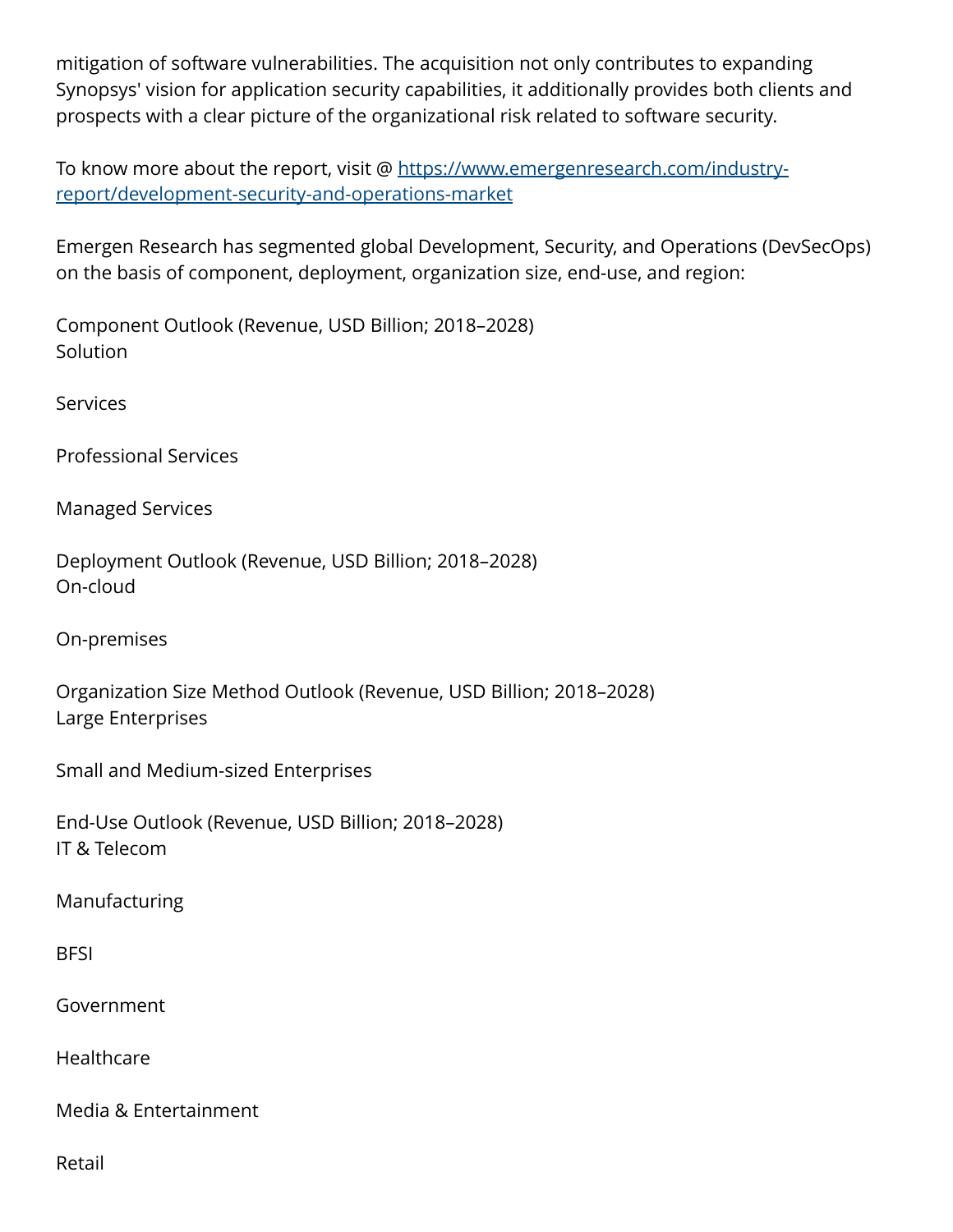mitigation of software vulnerabilities. The acquisition not only contributes to expanding Synopsys' vision for application security capabilities, it additionally provides both clients and prospects with a clear picture of the organizational risk related to software security.

To know more about the report, visit @ [https://www.emergenresearch.com/industry](https://www.emergenresearch.com/industry-report/development-security-and-operations-market)[report/development-security-and-operations-market](https://www.emergenresearch.com/industry-report/development-security-and-operations-market)

Emergen Research has segmented global Development, Security, and Operations (DevSecOps) on the basis of component, deployment, organization size, end-use, and region:

Component Outlook (Revenue, USD Billion; 2018–2028) **Solution** 

**Services** 

Professional Services

Managed Services

Deployment Outlook (Revenue, USD Billion; 2018–2028) On-cloud

On-premises

Organization Size Method Outlook (Revenue, USD Billion; 2018–2028) Large Enterprises

Small and Medium-sized Enterprises

End-Use Outlook (Revenue, USD Billion; 2018–2028) IT & Telecom

Manufacturing

**BFSI** 

Government

**Healthcare** 

Media & Entertainment

Retail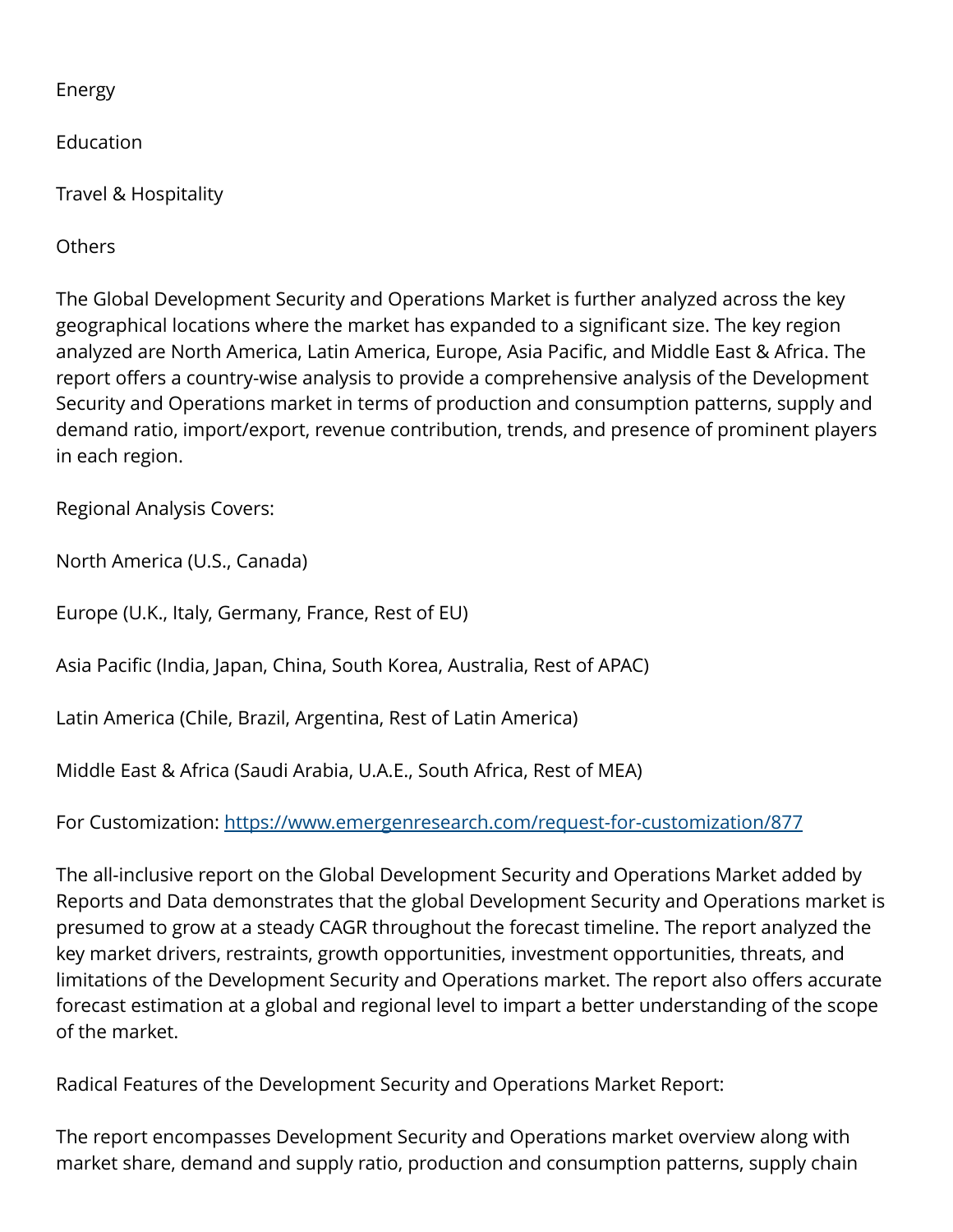Energy

Education

Travel & Hospitality

**Others** 

The Global Development Security and Operations Market is further analyzed across the key geographical locations where the market has expanded to a significant size. The key region analyzed are North America, Latin America, Europe, Asia Pacific, and Middle East & Africa. The report offers a country-wise analysis to provide a comprehensive analysis of the Development Security and Operations market in terms of production and consumption patterns, supply and demand ratio, import/export, revenue contribution, trends, and presence of prominent players in each region.

Regional Analysis Covers:

North America (U.S., Canada)

Europe (U.K., Italy, Germany, France, Rest of EU)

Asia Pacific (India, Japan, China, South Korea, Australia, Rest of APAC)

Latin America (Chile, Brazil, Argentina, Rest of Latin America)

Middle East & Africa (Saudi Arabia, U.A.E., South Africa, Rest of MEA)

For Customization:<https://www.emergenresearch.com/request-for-customization/877>

The all-inclusive report on the Global Development Security and Operations Market added by Reports and Data demonstrates that the global Development Security and Operations market is presumed to grow at a steady CAGR throughout the forecast timeline. The report analyzed the key market drivers, restraints, growth opportunities, investment opportunities, threats, and limitations of the Development Security and Operations market. The report also offers accurate forecast estimation at a global and regional level to impart a better understanding of the scope of the market.

Radical Features of the Development Security and Operations Market Report:

The report encompasses Development Security and Operations market overview along with market share, demand and supply ratio, production and consumption patterns, supply chain